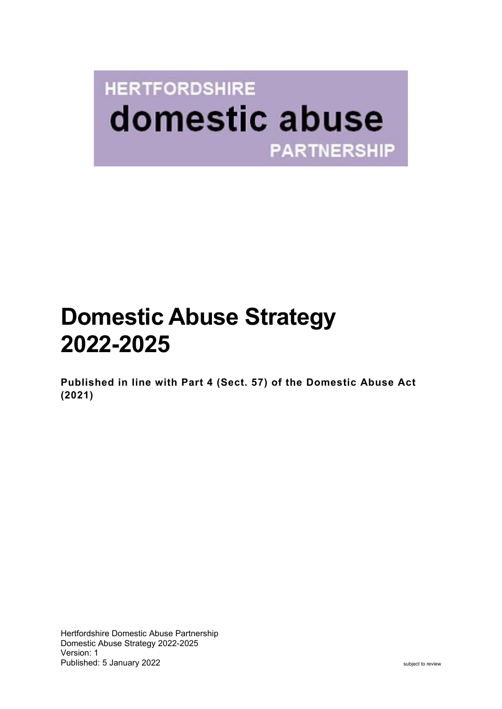# **HERTFORDSHIRE** domestic abuse **PARTNERSHIP**

## **Domestic Abuse Strategy 2022-2025**

**Published in line with Part 4 (Sect. 57) of the Domestic Abuse Act (2021)**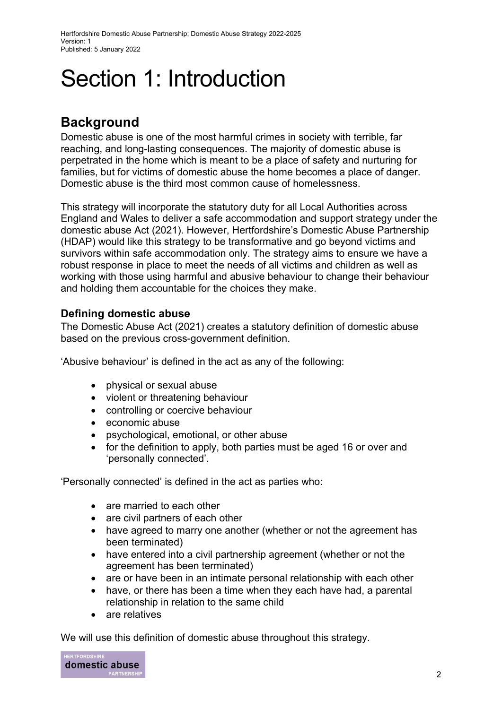# Section 1: Introduction

## **Background**

Domestic abuse is one of the most harmful crimes in society with terrible, far reaching, and long-lasting consequences. The majority of domestic abuse is perpetrated in the home which is meant to be a place of safety and nurturing for families, but for victims of domestic abuse the home becomes a place of danger. Domestic abuse is the third most common cause of homelessness.

This strategy will incorporate the statutory duty for all Local Authorities across England and Wales to deliver a safe accommodation and support strategy under the domestic abuse Act (2021). However, Hertfordshire's Domestic Abuse Partnership (HDAP) would like this strategy to be transformative and go beyond victims and survivors within safe accommodation only. The strategy aims to ensure we have a robust response in place to meet the needs of all victims and children as well as working with those using harmful and abusive behaviour to change their behaviour and holding them accountable for the choices they make.

#### **Defining domestic abuse**

The Domestic Abuse Act (2021) creates a statutory definition of domestic abuse based on the previous cross-government definition.

'Abusive behaviour' is defined in the act as any of the following:

- physical or sexual abuse
- violent or threatening behaviour
- controlling or coercive behaviour
- economic abuse
- psychological, emotional, or other abuse
- for the definition to apply, both parties must be aged 16 or over and 'personally connected'.

'Personally connected' is defined in the act as parties who:

- are married to each other
- are civil partners of each other
- have agreed to marry one another (whether or not the agreement has been terminated)
- have entered into a civil partnership agreement (whether or not the agreement has been terminated)
- are or have been in an intimate personal relationship with each other
- have, or there has been a time when they each have had, a parental relationship in relation to the same child
- are relatives

We will use this definition of domestic abuse throughout this strategy.

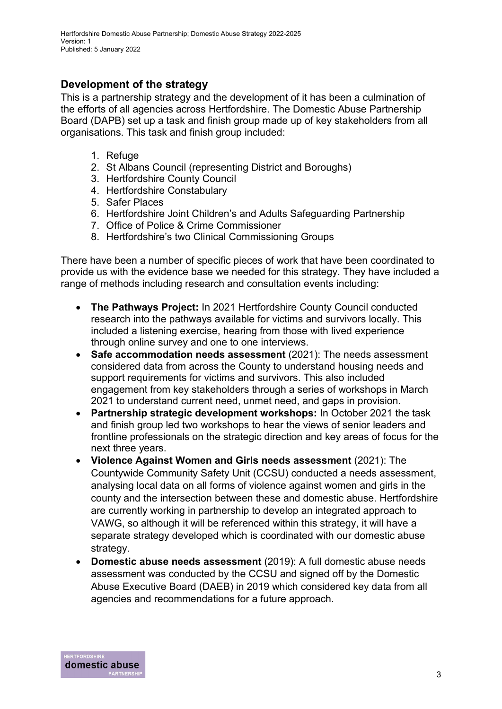#### **Development of the strategy**

This is a partnership strategy and the development of it has been a culmination of the efforts of all agencies across Hertfordshire. The Domestic Abuse Partnership Board (DAPB) set up a task and finish group made up of key stakeholders from all organisations. This task and finish group included:

- 1. Refuge
- 2. St Albans Council (representing District and Boroughs)
- 3. Hertfordshire County Council
- 4. Hertfordshire Constabulary
- 5. Safer Places
- 6. Hertfordshire Joint Children's and Adults Safeguarding Partnership
- 7. Office of Police & Crime Commissioner
- 8. Hertfordshire's two Clinical Commissioning Groups

There have been a number of specific pieces of work that have been coordinated to provide us with the evidence base we needed for this strategy. They have included a range of methods including research and consultation events including:

- **The Pathways Project:** In 2021 Hertfordshire County Council conducted research into the pathways available for victims and survivors locally. This included a listening exercise, hearing from those with lived experience through online survey and one to one interviews.
- **Safe accommodation needs assessment** (2021): The needs assessment considered data from across the County to understand housing needs and support requirements for victims and survivors. This also included engagement from key stakeholders through a series of workshops in March 2021 to understand current need, unmet need, and gaps in provision.
- **Partnership strategic development workshops:** In October 2021 the task and finish group led two workshops to hear the views of senior leaders and frontline professionals on the strategic direction and key areas of focus for the next three years.
- **Violence Against Women and Girls needs assessment** (2021): The Countywide Community Safety Unit (CCSU) conducted a needs assessment, analysing local data on all forms of violence against women and girls in the county and the intersection between these and domestic abuse. Hertfordshire are currently working in partnership to develop an integrated approach to VAWG, so although it will be referenced within this strategy, it will have a separate strategy developed which is coordinated with our domestic abuse strategy.
- **Domestic abuse needs assessment** (2019): A full domestic abuse needs assessment was conducted by the CCSU and signed off by the Domestic Abuse Executive Board (DAEB) in 2019 which considered key data from all agencies and recommendations for a future approach.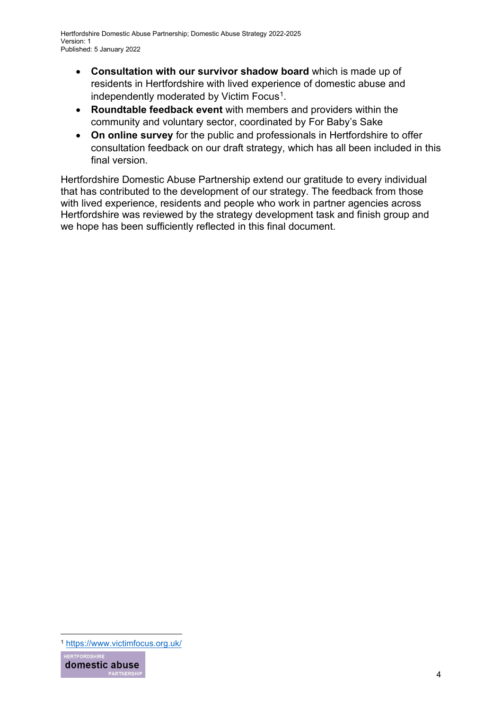- **Consultation with our survivor shadow board** which is made up of residents in Hertfordshire with lived experience of domestic abuse and independently moderated by Victim Focus<sup>[1](#page-3-0)</sup>.
- **Roundtable feedback event** with members and providers within the community and voluntary sector, coordinated by For Baby's Sake
- **On online survey** for the public and professionals in Hertfordshire to offer consultation feedback on our draft strategy, which has all been included in this final version.

Hertfordshire Domestic Abuse Partnership extend our gratitude to every individual that has contributed to the development of our strategy. The feedback from those with lived experience, residents and people who work in partner agencies across Hertfordshire was reviewed by the strategy development task and finish group and we hope has been sufficiently reflected in this final document.

<span id="page-3-0"></span><sup>1</sup> <https://www.victimfocus.org.uk/>

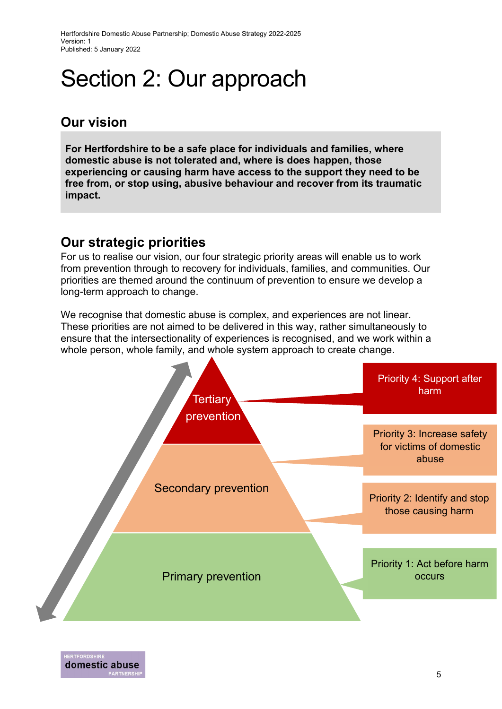Hertfordshire Domestic Abuse Partnership; Domestic Abuse Strategy 2022-2025 Version: 1 Published: 5 January 2022

## Section 2: Our approach

### **Our vision**

**For Hertfordshire to be a safe place for individuals and families, where domestic abuse is not tolerated and, where is does happen, those experiencing or causing harm have access to the support they need to be free from, or stop using, abusive behaviour and recover from its traumatic impact.** 

### **Our strategic priorities**

For us to realise our vision, our four strategic priority areas will enable us to work from prevention through to recovery for individuals, families, and communities. Our priorities are themed around the continuum of prevention to ensure we develop a long-term approach to change.

We recognise that domestic abuse is complex, and experiences are not linear. These priorities are not aimed to be delivered in this way, rather simultaneously to ensure that the intersectionality of experiences is recognised, and we work within a whole person, whole family, and whole system approach to create change.

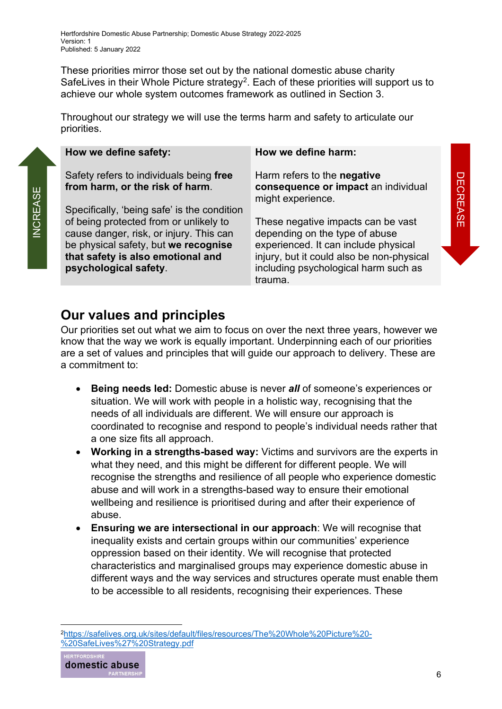These priorities mirror those set out by the national domestic abuse charity SafeLives in their Whole Picture strategy<sup>[2](#page-5-0)</sup>. Each of these priorities will support us to achieve our whole system outcomes framework as outlined in Section 3.

Throughout our strategy we will use the terms harm and safety to articulate our priorities.

| How we define safety:                                                                                                                                                                   | How we define harm:                                                                                                                                                                                          |          |
|-----------------------------------------------------------------------------------------------------------------------------------------------------------------------------------------|--------------------------------------------------------------------------------------------------------------------------------------------------------------------------------------------------------------|----------|
| Safety refers to individuals being free<br>from harm, or the risk of harm.<br>Specifically, 'being safe' is the condition                                                               | Harm refers to the negative<br>consequence or impact an individual<br>might experience.                                                                                                                      | DECREASE |
| of being protected from or unlikely to<br>cause danger, risk, or injury. This can<br>be physical safety, but we recognise<br>that safety is also emotional and<br>psychological safety. | These negative impacts can be vast<br>depending on the type of abuse<br>experienced. It can include physical<br>injury, but it could also be non-physical<br>including psychological harm such as<br>trauma. |          |

### **Our values and principles**

Our priorities set out what we aim to focus on over the next three years, however we know that the way we work is equally important. Underpinning each of our priorities are a set of values and principles that will guide our approach to delivery. These are a commitment to:

- **Being needs led:** Domestic abuse is never *all* of someone's experiences or situation. We will work with people in a holistic way, recognising that the needs of all individuals are different. We will ensure our approach is coordinated to recognise and respond to people's individual needs rather that a one size fits all approach.
- **Working in a strengths-based way:** Victims and survivors are the experts in what they need, and this might be different for different people. We will recognise the strengths and resilience of all people who experience domestic abuse and will work in a strengths-based way to ensure their emotional wellbeing and resilience is prioritised during and after their experience of abuse.
- **Ensuring we are intersectional in our approach**: We will recognise that inequality exists and certain groups within our communities' experience oppression based on their identity. We will recognise that protected characteristics and marginalised groups may experience domestic abuse in different ways and the way services and structures operate must enable them to be accessible to all residents, recognising their experiences. These

<span id="page-5-0"></span>[<sup>2</sup>https://safelives.org.uk/sites/default/files/resources/The%20Whole%20Picture%20-](https://safelives.org.uk/sites/default/files/resources/The%20Whole%20Picture%20-%20SafeLives%27%20Strategy.pdf) [%20SafeLives%27%20Strategy.pdf](https://safelives.org.uk/sites/default/files/resources/The%20Whole%20Picture%20-%20SafeLives%27%20Strategy.pdf)

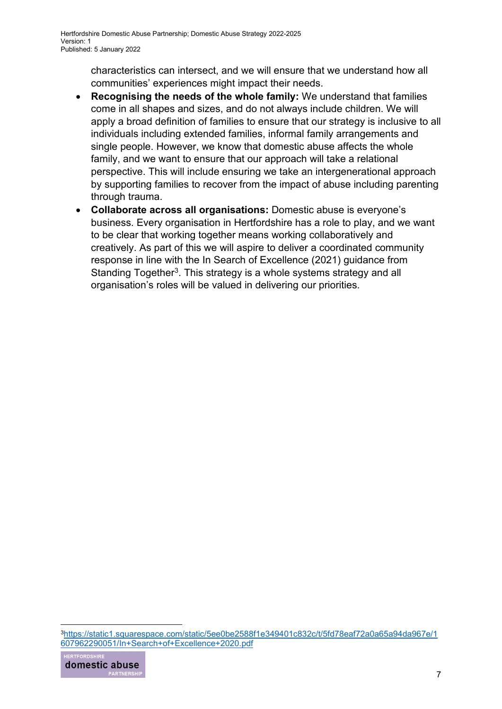characteristics can intersect, and we will ensure that we understand how all communities' experiences might impact their needs.

- **Recognising the needs of the whole family:** We understand that families come in all shapes and sizes, and do not always include children. We will apply a broad definition of families to ensure that our strategy is inclusive to all individuals including extended families, informal family arrangements and single people. However, we know that domestic abuse affects the whole family, and we want to ensure that our approach will take a relational perspective. This will include ensuring we take an intergenerational approach by supporting families to recover from the impact of abuse including parenting through trauma.
- **Collaborate across all organisations:** Domestic abuse is everyone's business. Every organisation in Hertfordshire has a role to play, and we want to be clear that working together means working collaboratively and creatively. As part of this we will aspire to deliver a coordinated community response in line with the In Search of Excellence (2021) guidance from Standing Together<sup>3</sup>. This strategy is a whole systems strategy and all organisation's roles will be valued in delivering our priorities.

<span id="page-6-0"></span>[<sup>3</sup>https://static1.squarespace.com/static/5ee0be2588f1e349401c832c/t/5fd78eaf72a0a65a94da967e/1](https://static1.squarespace.com/static/5ee0be2588f1e349401c832c/t/5fd78eaf72a0a65a94da967e/1607962290051/In+Search+of+Excellence+2020.pdf) [607962290051/In+Search+of+Excellence+2020.pdf](https://static1.squarespace.com/static/5ee0be2588f1e349401c832c/t/5fd78eaf72a0a65a94da967e/1607962290051/In+Search+of+Excellence+2020.pdf)

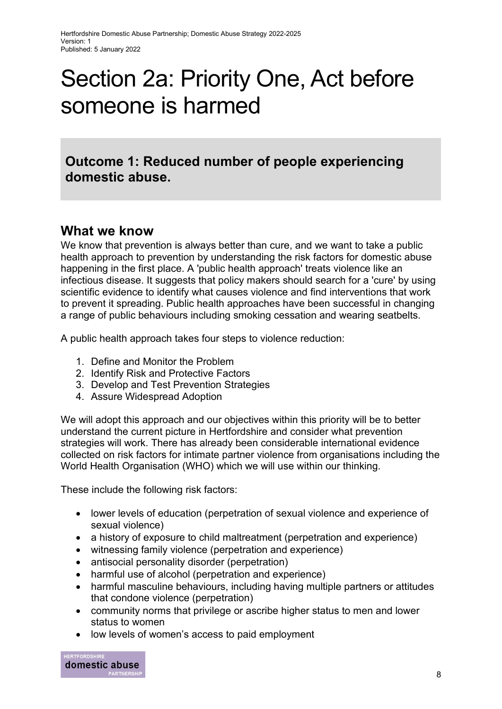## Section 2a: Priority One, Act before someone is harmed

**Outcome 1: Reduced number of people experiencing domestic abuse.**

#### **What we know**

We know that prevention is always better than cure, and we want to take a public health approach to prevention by understanding the risk factors for domestic abuse happening in the first place. A 'public health approach' treats violence like an infectious disease. It suggests that policy makers should search for a 'cure' by using scientific evidence to identify what causes violence and find interventions that work to prevent it spreading. Public health approaches have been successful in changing a range of public behaviours including smoking cessation and wearing seatbelts.

A public health approach takes four steps to violence reduction:

- 1. Define and Monitor the Problem
- 2. Identify Risk and Protective Factors
- 3. Develop and Test Prevention Strategies
- 4. Assure Widespread Adoption

We will adopt this approach and our objectives within this priority will be to better understand the current picture in Hertfordshire and consider what prevention strategies will work. There has already been considerable international evidence collected on risk factors for intimate partner violence from organisations including the World Health Organisation (WHO) which we will use within our thinking.

These include the following risk factors:

- lower levels of education (perpetration of sexual violence and experience of sexual violence)
- a history of exposure to child maltreatment (perpetration and experience)
- witnessing family violence (perpetration and experience)
- antisocial personality disorder (perpetration)
- harmful use of alcohol (perpetration and experience)
- harmful masculine behaviours, including having multiple partners or attitudes that condone violence (perpetration)
- community norms that privilege or ascribe higher status to men and lower status to women
- low levels of women's access to paid employment

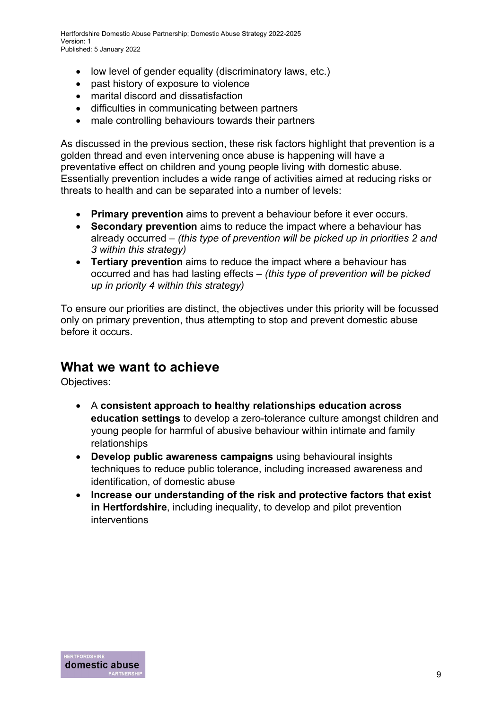Hertfordshire Domestic Abuse Partnership; Domestic Abuse Strategy 2022-2025 Version: 1 Published: 5 January 2022

- low level of gender equality (discriminatory laws, etc.)
- past history of exposure to violence
- marital discord and dissatisfaction
- difficulties in communicating between partners
- male controlling behaviours towards their partners

As discussed in the previous section, these risk factors highlight that prevention is a golden thread and even intervening once abuse is happening will have a preventative effect on children and young people living with domestic abuse. Essentially prevention includes a wide range of activities aimed at reducing risks or threats to health and can be separated into a number of levels:

- **Primary prevention** aims to prevent a behaviour before it ever occurs.
- **Secondary prevention** aims to reduce the impact where a behaviour has already occurred – *(this type of prevention will be picked up in priorities 2 and 3 within this strategy)*
- **Tertiary prevention** aims to reduce the impact where a behaviour has occurred and has had lasting effects – *(this type of prevention will be picked up in priority 4 within this strategy)*

To ensure our priorities are distinct, the objectives under this priority will be focussed only on primary prevention, thus attempting to stop and prevent domestic abuse before it occurs.

#### **What we want to achieve**

- A **consistent approach to healthy relationships education across education settings** to develop a zero-tolerance culture amongst children and young people for harmful of abusive behaviour within intimate and family relationships
- **Develop public awareness campaigns** using behavioural insights techniques to reduce public tolerance, including increased awareness and identification, of domestic abuse
- **Increase our understanding of the risk and protective factors that exist in Hertfordshire**, including inequality, to develop and pilot prevention interventions

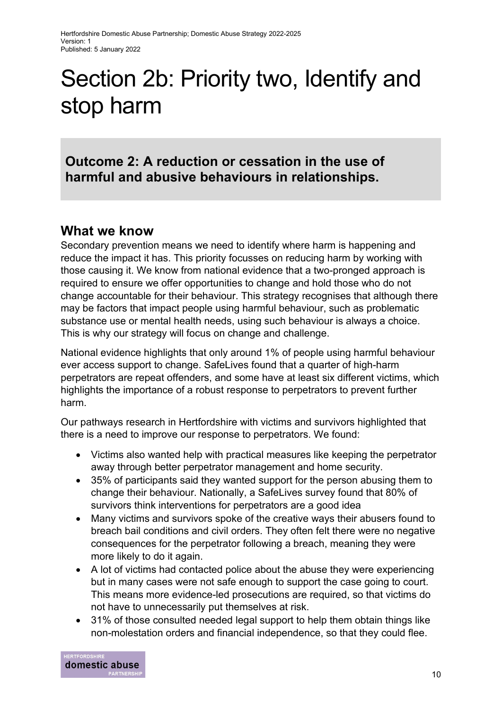# Section 2b: Priority two, Identify and stop harm

**Outcome 2: A reduction or cessation in the use of harmful and abusive behaviours in relationships.**

#### **What we know**

Secondary prevention means we need to identify where harm is happening and reduce the impact it has. This priority focusses on reducing harm by working with those causing it. We know from national evidence that a two-pronged approach is required to ensure we offer opportunities to change and hold those who do not change accountable for their behaviour. This strategy recognises that although there may be factors that impact people using harmful behaviour, such as problematic substance use or mental health needs, using such behaviour is always a choice. This is why our strategy will focus on change and challenge.

National evidence highlights that only around 1% of people using harmful behaviour ever access support to change. SafeLives found that a quarter of high-harm perpetrators are repeat offenders, and some have at least six different victims, which highlights the importance of a robust response to perpetrators to prevent further harm.

Our pathways research in Hertfordshire with victims and survivors highlighted that there is a need to improve our response to perpetrators. We found:

- Victims also wanted help with practical measures like keeping the perpetrator away through better perpetrator management and home security.
- 35% of participants said they wanted support for the person abusing them to change their behaviour. Nationally, a SafeLives survey found that 80% of survivors think interventions for perpetrators are a good idea
- Many victims and survivors spoke of the creative ways their abusers found to breach bail conditions and civil orders. They often felt there were no negative consequences for the perpetrator following a breach, meaning they were more likely to do it again.
- A lot of victims had contacted police about the abuse they were experiencing but in many cases were not safe enough to support the case going to court. This means more evidence-led prosecutions are required, so that victims do not have to unnecessarily put themselves at risk.
- 31% of those consulted needed legal support to help them obtain things like non-molestation orders and financial independence, so that they could flee.

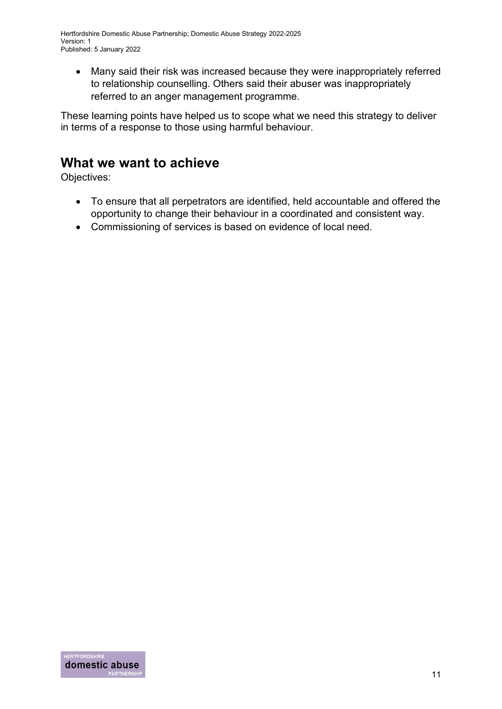• Many said their risk was increased because they were inappropriately referred to relationship counselling. Others said their abuser was inappropriately referred to an anger management programme.

These learning points have helped us to scope what we need this strategy to deliver in terms of a response to those using harmful behaviour.

### **What we want to achieve**

- To ensure that all perpetrators are identified, held accountable and offered the opportunity to change their behaviour in a coordinated and consistent way.
- Commissioning of services is based on evidence of local need.

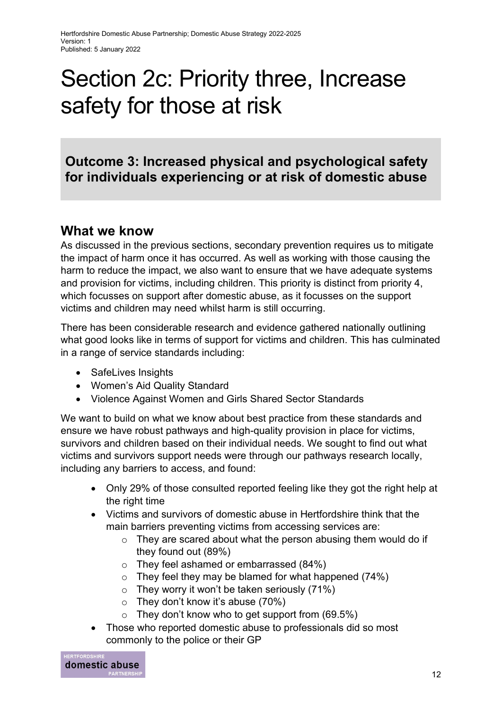## Section 2c: Priority three, Increase safety for those at risk

**Outcome 3: Increased physical and psychological safety for individuals experiencing or at risk of domestic abuse**

### **What we know**

As discussed in the previous sections, secondary prevention requires us to mitigate the impact of harm once it has occurred. As well as working with those causing the harm to reduce the impact, we also want to ensure that we have adequate systems and provision for victims, including children. This priority is distinct from priority 4, which focusses on support after domestic abuse, as it focusses on the support victims and children may need whilst harm is still occurring.

There has been considerable research and evidence gathered nationally outlining what good looks like in terms of support for victims and children. This has culminated in a range of service standards including:

- SafeLives Insights
- Women's Aid Quality Standard
- Violence Against Women and Girls Shared Sector Standards

We want to build on what we know about best practice from these standards and ensure we have robust pathways and high-quality provision in place for victims, survivors and children based on their individual needs. We sought to find out what victims and survivors support needs were through our pathways research locally, including any barriers to access, and found:

- Only 29% of those consulted reported feeling like they got the right help at the right time
- Victims and survivors of domestic abuse in Hertfordshire think that the main barriers preventing victims from accessing services are:
	- $\circ$  They are scared about what the person abusing them would do if they found out (89%)
	- o They feel ashamed or embarrassed (84%)
	- $\circ$  They feel they may be blamed for what happened (74%)
	- $\circ$  They worry it won't be taken seriously (71%)
	- $\circ$  They don't know it's abuse (70%)
	- $\circ$  They don't know who to get support from (69.5%)
- Those who reported domestic abuse to professionals did so most commonly to the police or their GP

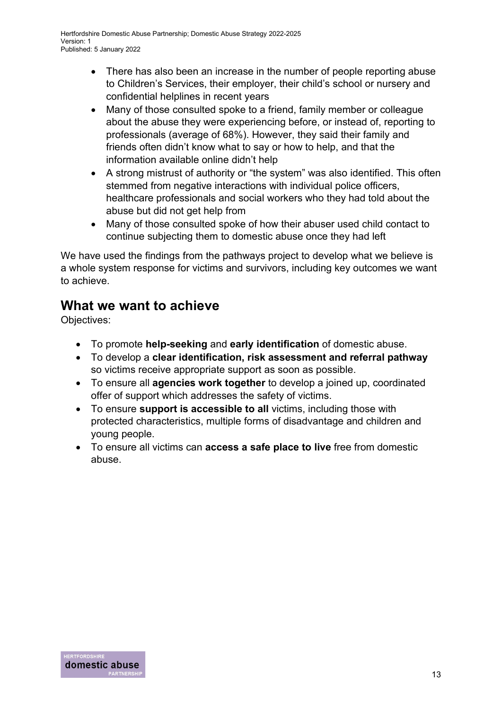- There has also been an increase in the number of people reporting abuse to Children's Services, their employer, their child's school or nursery and confidential helplines in recent years
- Many of those consulted spoke to a friend, family member or colleague about the abuse they were experiencing before, or instead of, reporting to professionals (average of 68%). However, they said their family and friends often didn't know what to say or how to help, and that the information available online didn't help
- A strong mistrust of authority or "the system" was also identified. This often stemmed from negative interactions with individual police officers, healthcare professionals and social workers who they had told about the abuse but did not get help from
- Many of those consulted spoke of how their abuser used child contact to continue subjecting them to domestic abuse once they had left

We have used the findings from the pathways project to develop what we believe is a whole system response for victims and survivors, including key outcomes we want to achieve.

## **What we want to achieve**

- To promote **help-seeking** and **early identification** of domestic abuse.
- To develop a **clear identification, risk assessment and referral pathway**  so victims receive appropriate support as soon as possible.
- To ensure all **agencies work together** to develop a joined up, coordinated offer of support which addresses the safety of victims.
- To ensure **support is accessible to all** victims, including those with protected characteristics, multiple forms of disadvantage and children and young people.
- To ensure all victims can **access a safe place to live** free from domestic abuse.

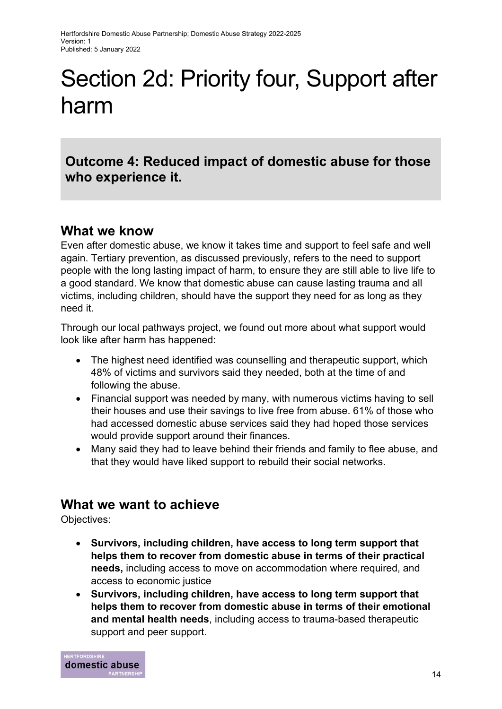# Section 2d: Priority four, Support after harm

**Outcome 4: Reduced impact of domestic abuse for those who experience it.**

#### **What we know**

Even after domestic abuse, we know it takes time and support to feel safe and well again. Tertiary prevention, as discussed previously, refers to the need to support people with the long lasting impact of harm, to ensure they are still able to live life to a good standard. We know that domestic abuse can cause lasting trauma and all victims, including children, should have the support they need for as long as they need it.

Through our local pathways project, we found out more about what support would look like after harm has happened:

- The highest need identified was counselling and therapeutic support, which 48% of victims and survivors said they needed, both at the time of and following the abuse.
- Financial support was needed by many, with numerous victims having to sell their houses and use their savings to live free from abuse. 61% of those who had accessed domestic abuse services said they had hoped those services would provide support around their finances.
- Many said they had to leave behind their friends and family to flee abuse, and that they would have liked support to rebuild their social networks.

### **What we want to achieve**

- **Survivors, including children, have access to long term support that helps them to recover from domestic abuse in terms of their practical needs,** including access to move on accommodation where required, and access to economic justice
- **Survivors, including children, have access to long term support that helps them to recover from domestic abuse in terms of their emotional and mental health needs**, including access to trauma-based therapeutic support and peer support.

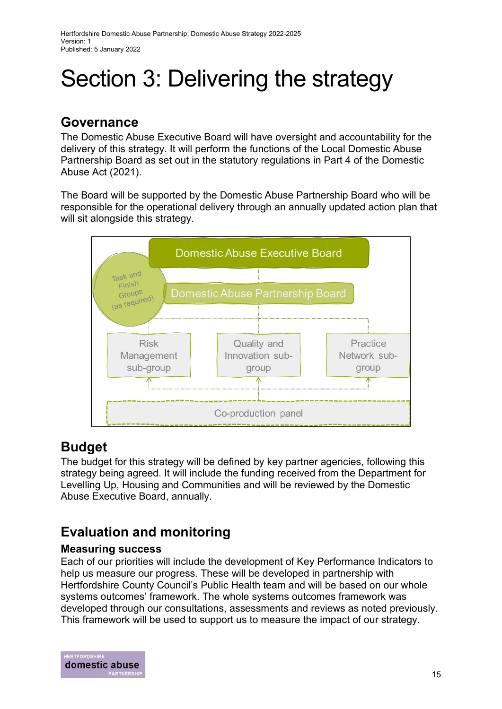# Section 3: Delivering the strategy

### **Governance**

The Domestic Abuse Executive Board will have oversight and accountability for the delivery of this strategy. It will perform the functions of the Local Domestic Abuse Partnership Board as set out in the statutory regulations in Part 4 of the Domestic Abuse Act (2021).

The Board will be supported by the Domestic Abuse Partnership Board who will be responsible for the operational delivery through an annually updated action plan that will sit alongside this strategy.



### **Budget**

The budget for this strategy will be defined by key partner agencies, following this strategy being agreed. It will include the funding received from the Department for Levelling Up, Housing and Communities and will be reviewed by the Domestic Abuse Executive Board, annually.

## **Evaluation and monitoring**

#### **Measuring success**

Each of our priorities will include the development of Key Performance Indicators to help us measure our progress. These will be developed in partnership with Hertfordshire County Council's Public Health team and will be based on our whole systems outcomes' framework. The whole systems outcomes framework was developed through our consultations, assessments and reviews as noted previously. This framework will be used to support us to measure the impact of our strategy.